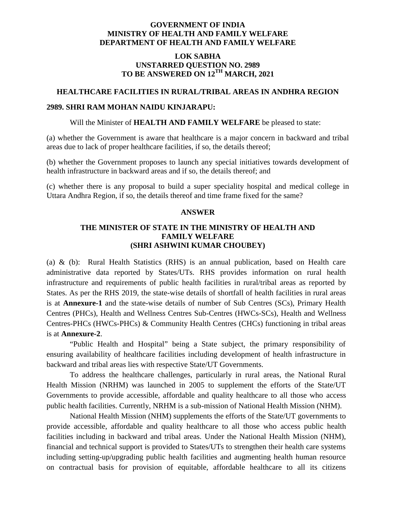## **GOVERNMENT OF INDIA MINISTRY OF HEALTH AND FAMILY WELFARE DEPARTMENT OF HEALTH AND FAMILY WELFARE**

## **LOK SABHA UNSTARRED QUESTION NO. 2989 TO BE ANSWERED ON 12TH MARCH, 2021**

## **HEALTHCARE FACILITIES IN RURAL/TRIBAL AREAS IN ANDHRA REGION**

## **2989. SHRI RAM MOHAN NAIDU KINJARAPU:**

Will the Minister of **HEALTH AND FAMILY WELFARE** be pleased to state:

(a) whether the Government is aware that healthcare is a major concern in backward and tribal areas due to lack of proper healthcare facilities, if so, the details thereof;

(b) whether the Government proposes to launch any special initiatives towards development of health infrastructure in backward areas and if so, the details thereof; and

(c) whether there is any proposal to build a super speciality hospital and medical college in Uttara Andhra Region, if so, the details thereof and time frame fixed for the same?

#### **ANSWER**

# **THE MINISTER OF STATE IN THE MINISTRY OF HEALTH AND FAMILY WELFARE (SHRI ASHWINI KUMAR CHOUBEY)**

(a) & (b): Rural Health Statistics (RHS) is an annual publication, based on Health care administrative data reported by States/UTs. RHS provides information on rural health infrastructure and requirements of public health facilities in rural/tribal areas as reported by States. As per the RHS 2019, the state-wise details of shortfall of health facilities in rural areas is at **Annexure-1** and the state-wise details of number of Sub Centres (SCs), Primary Health Centres (PHCs), Health and Wellness Centres Sub-Centres (HWCs-SCs), Health and Wellness Centres-PHCs (HWCs-PHCs) & Community Health Centres (CHCs) functioning in tribal areas is at **Annexure-2**.

"Public Health and Hospital" being a State subject, the primary responsibility of ensuring availability of healthcare facilities including development of health infrastructure in backward and tribal areas lies with respective State/UT Governments.

To address the healthcare challenges, particularly in rural areas, the National Rural Health Mission (NRHM) was launched in 2005 to supplement the efforts of the State/UT Governments to provide accessible, affordable and quality healthcare to all those who access public health facilities. Currently, NRHM is a sub-mission of National Health Mission (NHM).

National Health Mission (NHM) supplements the efforts of the State/UT governments to provide accessible, affordable and quality healthcare to all those who access public health facilities including in backward and tribal areas. Under the National Health Mission (NHM), financial and technical support is provided to States/UTs to strengthen their health care systems including setting-up/upgrading public health facilities and augmenting health human resource on contractual basis for provision of equitable, affordable healthcare to all its citizens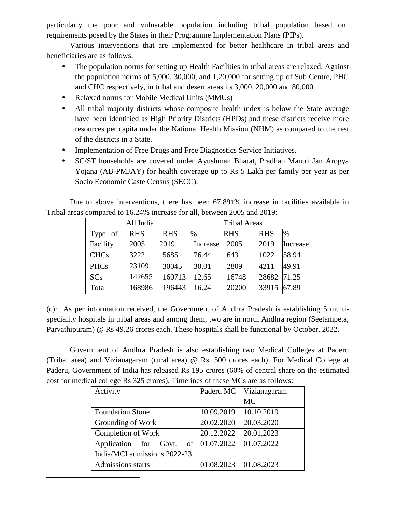particularly the poor and vulnerable population including tribal population based on requirements posed by the States in their Programme Implementation Plans (PIPs).

Various interventions that are implemented for better healthcare in tribal areas and beneficiaries are as follows;

- The population norms for setting up Health Facilities in tribal areas are relaxed. Against the population norms of 5,000, 30,000, and 1,20,000 for setting up of Sub Centre, PHC and CHC respectively, in tribal and desert areas its 3,000, 20,000 and 80,000.
- Relaxed norms for Mobile Medical Units (MMUs)
- All tribal majority districts whose composite health index is below the State average have been identified as High Priority Districts (HPDs) and these districts receive more resources per capita under the National Health Mission (NHM) as compared to the rest of the districts in a State.
- Implementation of Free Drugs and Free Diagnostics Service Initiatives.
- SC/ST households are covered under Ayushman Bharat, Pradhan Mantri Jan Arogya Yojana (AB-PMJAY) for health coverage up to Rs 5 Lakh per family per year as per Socio Economic Caste Census (SECC).

Due to above interventions, there has been 67.891% increase in facilities available in Tribal areas compared to 16.24% increase for all, between 2005 and 2019:

|             | <b>Tribal Areas</b> |            |          |            |            |          |
|-------------|---------------------|------------|----------|------------|------------|----------|
| Type of     | <b>RHS</b>          | <b>RHS</b> | $\%$     | <b>RHS</b> | <b>RHS</b> | $\%$     |
| Facility    | 2005                | 2019       | Increase | 2005       | 2019       | Increase |
| <b>CHCs</b> | 3222                | 5685       | 76.44    | 643        | 1022       | 58.94    |
| <b>PHCs</b> | 23109               | 30045      | 30.01    | 2809       | 4211       | 49.91    |
| <b>SCs</b>  | 142655              | 160713     | 12.65    | 16748      | 28682      | 71.25    |
| Total       | 168986              | 196443     | 16.24    | 20200      | 33915      | 67.89    |

(c): As per information received, the Government of Andhra Pradesh is establishing 5 multi speciality hospitals in tribal areas and among them, two are in north Andhra region (Seetampeta, Parvathipuram) @ Rs 49.26 crores each. These hospitals shall be functional by October, 2022.

Government of Andhra Pradesh is also establishing two Medical Colleges at Paderu (Tribal area) and Vizianagaram (rural area) @ Rs. 500 crores each). For Medical College at Paderu, Government of India has released Rs 195 crores (60% of central share on the estimated cost for medical college Rs 325 crores). Timelines of these MCs are as follows:

| Activity                              |                           | Paderu MC   Vizianagaram |  |  |
|---------------------------------------|---------------------------|--------------------------|--|--|
|                                       |                           | <b>MC</b>                |  |  |
| <b>Foundation Stone</b>               | $10.09.2019$   10.10.2019 |                          |  |  |
| Grounding of Work                     | 20.02.2020                | 20.03.2020               |  |  |
| Completion of Work                    | 20.12.2022                | 20.01.2023               |  |  |
| Application for Govt. of $01.07.2022$ |                           | 01.07.2022               |  |  |
| India/MCI admissions 2022-23          |                           |                          |  |  |
| Admissions starts                     | $01.08.2023$   01.08.2023 |                          |  |  |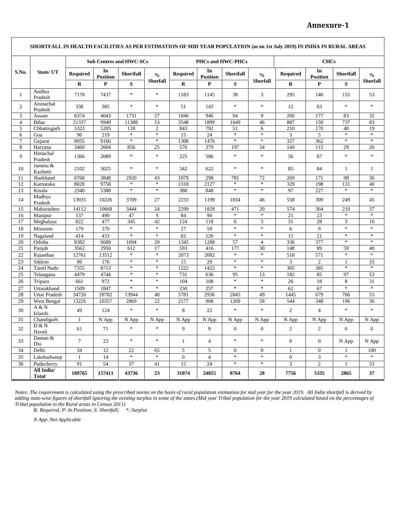|                | State/ UT            | <b>Sub Centres and HWC-SCs</b> |                       |                  | PHCs and HWC-PHCs         |                  |                       |                    | <b>CHCs</b>                      |                    |                       |                  |                                  |
|----------------|----------------------|--------------------------------|-----------------------|------------------|---------------------------|------------------|-----------------------|--------------------|----------------------------------|--------------------|-----------------------|------------------|----------------------------------|
| S.No.          |                      | <b>Required</b>                | In<br><b>Position</b> | <b>Shortfall</b> | $\frac{0}{0}$<br>Shorfall | <b>Required</b>  | In<br><b>Position</b> | Shortfall          | $\frac{0}{0}$<br><b>Shorfall</b> | <b>Required</b>    | In<br><b>Position</b> | <b>Shortfall</b> | $\frac{0}{0}$<br><b>Shorfall</b> |
|                |                      | $\bf R$                        | $\mathbf{P}$          | S                |                           | $\mathbf R$      | $\mathbf{P}$          | S                  |                                  | $\bf{R}$           | ${\bf P}$             | S                |                                  |
| $\mathbf{1}$   | Andhra<br>Pradesh    | 7178                           | 7437                  | $\ast$           | $\ast$                    | 1183             | 1145                  | 38                 | $\mathfrak{Z}$                   | 295                | 140                   | 155              | 53                               |
| $\overline{c}$ | Arunachal<br>Pradesh | 338                            | 385                   | $\ast$           | $\ast$                    | 51               | 143                   | $\frac{1}{2}$      | $\ast$                           | 12                 | 63                    | $\ast$           | $\ast$                           |
| 3              | Assam                | 6374                           | 4643                  | 1731             | 27                        | 1040             | 946                   | 94                 | 9                                | 260                | 177                   | 83               | 32                               |
| $\overline{4}$ | Bihar                | 21337                          | 9949                  | 11388            | 53                        | 3548             | 1899                  | 1649               | 46                               | 887                | 150                   | 737              | 83                               |
| 5              | Chhattisgarh         | 5323                           | 5205                  | 118              | $\overline{2}$            | 843              | 792                   | 51                 | 6                                | 210                | 170                   | 40               | 19                               |
| 6              | Goa                  | 96                             | 219                   | $\ast$           | $\ast$                    | 15               | 24                    | $\ast$             | $\frac{1}{2}$                    | $\mathfrak{Z}$     | 5                     | $\ast$           | $\ast$                           |
| 7              | Gujarat              | 8055                           | 9166                  | $\ast$           | $\ast$                    | 1308             | 1476                  | $\ast$             | $\frac{1}{2}$                    | 327                | 362                   | $\ast$           | $\ast$                           |
| $\,8\,$        | Haryana              | 3460                           | 2604                  | 856              | 25                        | 576              | 379                   | 197                | 34                               | 144                | 115                   | 29               | 20                               |
| 9              | Himachal<br>Pradesh  | 1366                           | 2089                  | $\ast$           | $\ast$                    | 225              | 586                   | $\frac{1}{2}$      | $\ast$                           | 56                 | 87                    | $\ast$           | $\frac{1}{2}$                    |
| 10             | Jammu &<br>Kashmir   | 2102                           | 3025                  | $\ast$           | $\ast$                    | 342              | 622                   | $\ast$             | $\ast$                           | 85                 | 84                    | $\mathbf{1}$     | $\mathbf{1}$                     |
| 11             | Jharkhand            | 6768                           | 3848                  | 2920             | 43                        | 1079             | 298                   | 781                | 72                               | 269                | 171                   | 98               | 36                               |
| 12             | Karnataka            | 8028                           | 9758                  | $\ast$           | $\ast$                    | 1318             | 2127                  | $\ast$             | $\ast$                           | 329                | 198                   | 131              | 40                               |
| 13             | Kerala               | 2340                           | 5380                  | $\ast$           | $\ast$                    | 388              | 848                   | $\ast$             | $\ast$                           | 97                 | 227                   | $\ast$           | $\ast$                           |
| $14\,$         | Madhya<br>Pradesh    | 13935                          | 10226                 | 3709             | 27                        | 2233             | 1199                  | 1034               | 46                               | 558                | 309                   | 249              | 45                               |
| 15             | Maharashtra          | 14112                          | 10668                 | 3444             | 24                        | 2299             | 1828                  | 471                | 20                               | 574                | 364                   | 210              | 37                               |
| 16             | Manipur              | 537                            | 490                   | 47               | 9                         | 84               | 90                    | $\frac{1}{2}$      | $\ast$                           | 21                 | 23                    | $\ast$           | $\ast$                           |
| 17             | Meghalaya            | 822                            | 477                   | 345              | 42                        | 124              | 118                   | 6                  | 5                                | 31                 | 28                    | $\mathfrak{Z}$   | 10                               |
| 18             | Mizoram              | 179                            | 370                   | $\ast$           | $\ast$                    | 27               | 59                    | $\frac{1}{26}$     | ×.                               | 6                  | 9                     | $\ast$           | $\ast$                           |
| 19             | Nagaland             | 414                            | 433                   | $\ast$           | $\ast$                    | 62               | 126                   | $\ast$             | $\ast$                           | 15                 | 21                    | $\ast$           | $\ast$                           |
| $20\,$         | Odisha               | 8382                           | 6688                  | 1694             | 20                        | 1345             | 1288                  | 57                 | $\overline{4}$                   | 336                | 377                   | $\ast$           | $\ast$                           |
| 21             | Punjab               | 3562                           | 2950                  | 612              | 17                        | 593              | 416                   | 177                | 30                               | 148                | 89                    | 59               | 40                               |
| 22             | Rajasthan            | 12761                          | 13512                 | $\ast$           | $\ast$                    | 2073             | 2082                  | $\ast$             | $\ast$                           | 518                | 571                   | $\ast$           | $\ast$                           |
| 23             | Sikkim               | 96                             | 176                   | $\ast$           | $\ast$                    | 15               | 29                    | $\ast$             | $\ast$                           | $\overline{3}$     | $\sqrt{2}$            | $\mathbf{1}$     | 33                               |
| 24             | Tamil Nadu           | 7355                           | 8713                  | $\ast$           | $\ast$                    | 1222             | 1422                  | $\frac{1}{2}$      | $\ast$                           | 305                | 385                   | $\ast$           | $\ast$                           |
| 25             | Telangana            | 4479                           | 4744                  | $\ast$           | $\ast$                    | 731              | 636                   | 95                 | 13                               | 182                | 85                    | 97               | $\overline{53}$                  |
| 26             | Tripura              | 661                            | 972                   | $\ast$           | $\ast$                    | 104              | 108                   | $\frac{1}{2}$      | $\ast$                           | 26                 | 18                    | 8                | 31                               |
| 27             | Uttarakhand          | 1509                           | 1847                  | $\ast$           | $\ast$                    | 250              | 257                   | $\frac{1}{2}$      | $\ast$                           | 62                 | 67                    | $\ast$           | $\ast$                           |
| 28             | <b>Uttar Pradesh</b> | 34726                          | 20782                 | 13944            | 40                        | 5781             | 2936                  | 2845               | 49                               | 1445               | 679                   | 766              | 53                               |
| 29             | West Bengal          | 13226                          | 10357                 | 2869             | 22                        | 2177             | 908                   | 1269               | 58                               | 544                | 348                   | 196              | 36                               |
| 30             | A & N<br>Islands     | 49                             | 124                   | $\ast$           | $\ast$                    | $\,8\,$          | 22                    | $\frac{1}{2}$      | $\ast$                           | $\overline{2}$     | $\overline{4}$        | *.               | $\ast$                           |
| 31             | Chandigarh           | $\mathbf{1}$                   | N App                 | N App            | N App                     | N App            | N App                 | $\overline{N}$ App | N App                            | $\overline{N}$ App | $N$ App               | N App            | $N$ App                          |
| 32             | D & N<br>Haveli      | 61                             | 71                    | $\ast$           | $\ast$                    | 9                | 9                     | $\boldsymbol{0}$   | $\mathbf{0}$                     | $\overline{c}$     | $\sqrt{2}$            | $\boldsymbol{0}$ | $\Omega$                         |
| 33             | Daman &<br>Diu       | $\tau$                         | 23                    | $\ast$           | $\ast$                    | $\mathbf{1}$     | $\overline{4}$        | $\frac{1}{2}$      | $\ast$                           | $\boldsymbol{0}$   | $\overline{0}$        | N App            | N App                            |
| 34             | Delhi                | 34                             | 12                    | 22               | 65                        | $\sqrt{5}$       | 5                     | $\Omega$           | $\Omega$                         | $\mathbf{1}$       | $\mathbf{0}$          | $\mathbf{1}$     | 100                              |
| 35             | Lakshadweep          | $\mathbf{1}$                   | 14                    | $\ast$           | $\ast$                    | $\boldsymbol{0}$ | $\overline{4}$        | $\ast$             | $\ast$                           | $\boldsymbol{0}$   | $\sqrt{3}$            | $\ast$           | $\ast$                           |
| 36             | Puducherry           | 91                             | 54                    | 37               | 41                        | 15               | 24                    | $\frac{1}{2} \xi$  | $\ast$                           | 3                  | $\mathbf{2}$          | $\mathbf{1}$     | 33                               |
|                | All India/           | 189765                         | 157411                | 43736            | 23                        | 31074            | 24855                 | 8764               | 28                               | 7756               | 5335                  | 2865             | 37                               |

*Notes: The requirement is calculated using the prescribed norms on the basis of rural population estimation for mid year for the year 2019. All India shortfall is derived by adding state-wise figures of shortfall ignoring the existing surplus in some of the states.(Mid year Tribal population for the year 2019 calculated based on the percentages of Tribal population in the Rural areas in Census 2011)*

*R: Required; P: In Position; S: Shortfall; \*: Surplus*

*N App- Not Applicable*